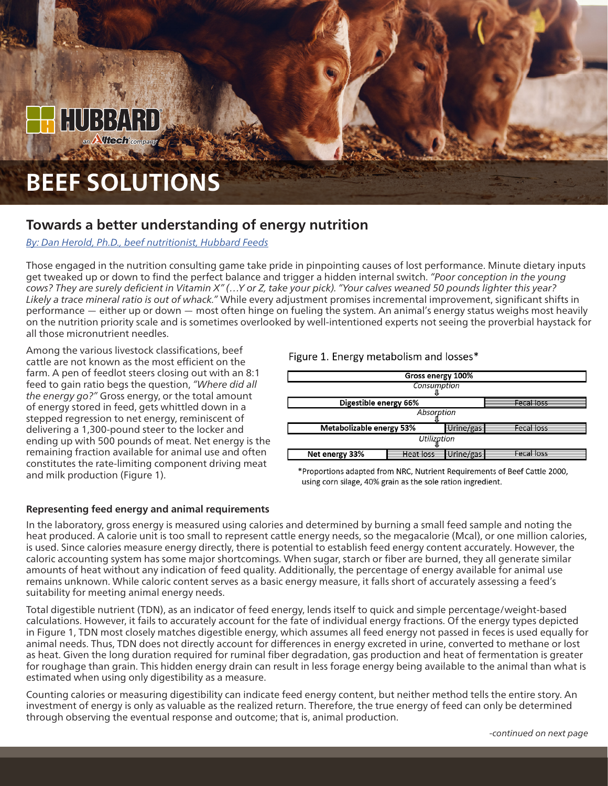# **BEEF SOLUTIONS**

### **Towards a better understanding of energy nutrition**

#### *[By: Dan Herold, Ph.D., beef nutritionist, Hubbard Feeds](mailto:beefteam%40hubbardfeeds.com?subject=)*

Those engaged in the nutrition consulting game take pride in pinpointing causes of lost performance. Minute dietary inputs get tweaked up or down to find the perfect balance and trigger a hidden internal switch. *"Poor conception in the young cows? They are surely deficient in Vitamin X" (…Y or Z, take your pick). "Your calves weaned 50 pounds lighter this year? Likely a trace mineral ratio is out of whack."* While every adjustment promises incremental improvement, significant shifts in performance — either up or down — most often hinge on fueling the system. An animal's energy status weighs most heavily on the nutrition priority scale and is sometimes overlooked by well-intentioned experts not seeing the proverbial haystack for all those micronutrient needles.

Among the various livestock classifications, beef cattle are not known as the most efficient on the farm. A pen of feedlot steers closing out with an 8:1 feed to gain ratio begs the question, *"Where did all the energy go?"* Gross energy, or the total amount of energy stored in feed, gets whittled down in a stepped regression to net energy, reminiscent of delivering a 1,300-pound steer to the locker and ending up with 500 pounds of meat. Net energy is the remaining fraction available for animal use and often constitutes the rate-limiting component driving meat and milk production (Figure 1).

#### **Representing feed energy and animal requirements**

Figure 1. Energy metabolism and losses\*



\*Proportions adapted from NRC, Nutrient Requirements of Beef Cattle 2000, using corn silage, 40% grain as the sole ration ingredient.

In the laboratory, gross energy is measured using calories and determined by burning a small feed sample and noting the heat produced. A calorie unit is too small to represent cattle energy needs, so the megacalorie (Mcal), or one million calories, is used. Since calories measure energy directly, there is potential to establish feed energy content accurately. However, the caloric accounting system has some major shortcomings. When sugar, starch or fiber are burned, they all generate similar amounts of heat without any indication of feed quality. Additionally, the percentage of energy available for animal use remains unknown. While caloric content serves as a basic energy measure, it falls short of accurately assessing a feed's suitability for meeting animal energy needs.

Total digestible nutrient (TDN), as an indicator of feed energy, lends itself to quick and simple percentage/weight-based calculations. However, it fails to accurately account for the fate of individual energy fractions. Of the energy types depicted in Figure 1, TDN most closely matches digestible energy, which assumes all feed energy not passed in feces is used equally for animal needs. Thus, TDN does not directly account for differences in energy excreted in urine, converted to methane or lost as heat. Given the long duration required for ruminal fiber degradation, gas production and heat of fermentation is greater for roughage than grain. This hidden energy drain can result in less forage energy being available to the animal than what is estimated when using only digestibility as a measure.

Counting calories or measuring digestibility can indicate feed energy content, but neither method tells the entire story. An investment of energy is only as valuable as the realized return. Therefore, the true energy of feed can only be determined through observing the eventual response and outcome; that is, animal production.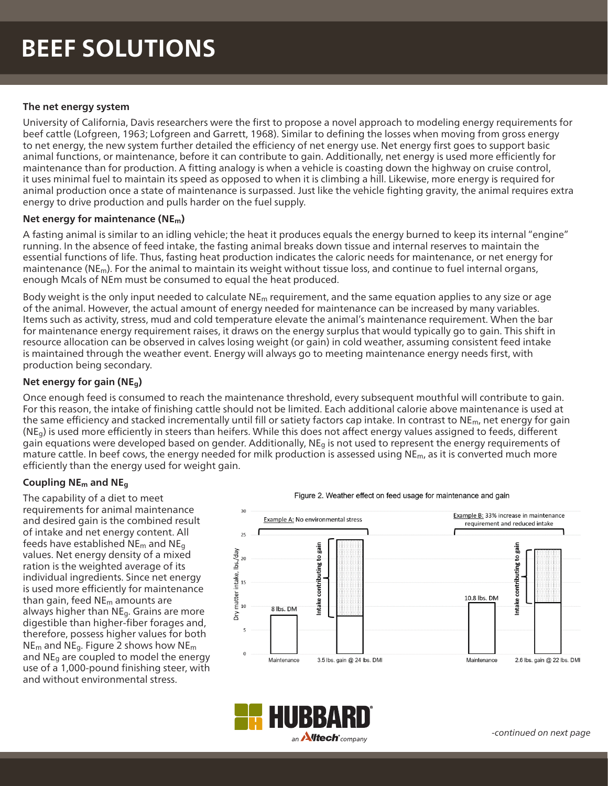### **BEEF SOLUTIONS**

#### **The net energy system**

University of California, Davis researchers were the first to propose a novel approach to modeling energy requirements for beef cattle (Lofgreen, 1963; Lofgreen and Garrett, 1968). Similar to defining the losses when moving from gross energy to net energy, the new system further detailed the efficiency of net energy use. Net energy first goes to support basic animal functions, or maintenance, before it can contribute to gain. Additionally, net energy is used more efficiently for maintenance than for production. A fitting analogy is when a vehicle is coasting down the highway on cruise control, it uses minimal fuel to maintain its speed as opposed to when it is climbing a hill. Likewise, more energy is required for animal production once a state of maintenance is surpassed. Just like the vehicle fighting gravity, the animal requires extra energy to drive production and pulls harder on the fuel supply.

#### **Net energy for maintenance (NEm)**

A fasting animal is similar to an idling vehicle; the heat it produces equals the energy burned to keep its internal "engine" running. In the absence of feed intake, the fasting animal breaks down tissue and internal reserves to maintain the essential functions of life. Thus, fasting heat production indicates the caloric needs for maintenance, or net energy for maintenance ( $NE<sub>m</sub>$ ). For the animal to maintain its weight without tissue loss, and continue to fuel internal organs, enough Mcals of NEm must be consumed to equal the heat produced.

Body weight is the only input needed to calculate  $NE<sub>m</sub>$  requirement, and the same equation applies to any size or age of the animal. However, the actual amount of energy needed for maintenance can be increased by many variables. Items such as activity, stress, mud and cold temperature elevate the animal's maintenance requirement. When the bar for maintenance energy requirement raises, it draws on the energy surplus that would typically go to gain. This shift in resource allocation can be observed in calves losing weight (or gain) in cold weather, assuming consistent feed intake is maintained through the weather event. Energy will always go to meeting maintenance energy needs first, with production being secondary.

#### **Net energy for gain (NEg)**

Once enough feed is consumed to reach the maintenance threshold, every subsequent mouthful will contribute to gain. For this reason, the intake of finishing cattle should not be limited. Each additional calorie above maintenance is used at the same efficiency and stacked incrementally until fill or satiety factors cap intake. In contrast to  $N_{Em}$ , net energy for gain  $(NE<sub>a</sub>)$  is used more efficiently in steers than heifers. While this does not affect energy values assigned to feeds, different gain equations were developed based on gender. Additionally, NE<sub>g</sub> is not used to represent the energy requirements of mature cattle. In beef cows, the energy needed for milk production is assessed using  $NE<sub>m</sub>$ , as it is converted much more efficiently than the energy used for weight gain.

#### **Coupling NEm and NEg**

The capability of a diet to meet requirements for animal maintenance and desired gain is the combined result of intake and net energy content. All feeds have established  $NE<sub>m</sub>$  and  $NE<sub>q</sub>$ values. Net energy density of a mixed ration is the weighted average of its individual ingredients. Since net energy is used more efficiently for maintenance than gain, feed  $NE<sub>m</sub>$  amounts are always higher than NEg. Grains are more digestible than higher-fiber forages and, therefore, possess higher values for both NEm and NEg. Figure 2 shows how NEm and  $NE<sub>q</sub>$  are coupled to model the energy use of a 1,000-pound finishing steer, with and without environmental stress.